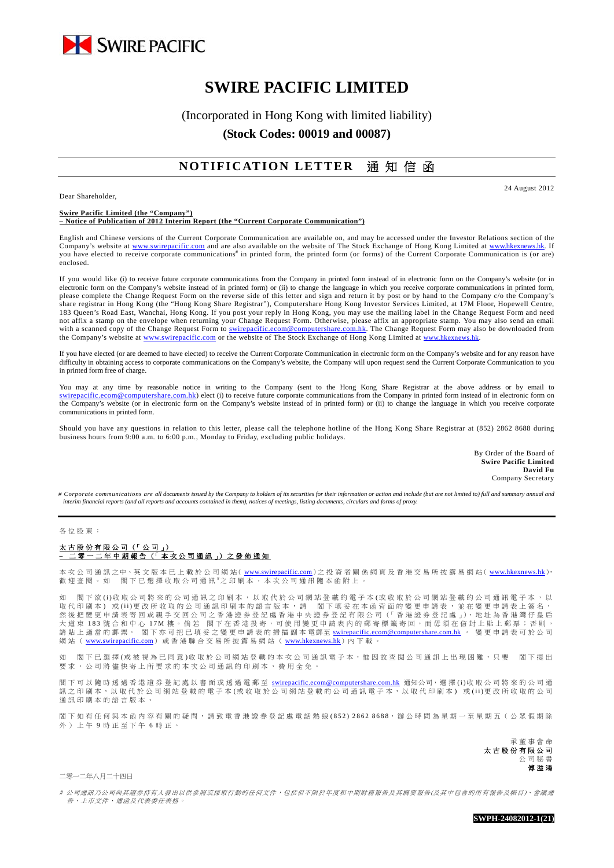

# **SWIRE PACIFIC LIMITED**

(Incorporated in Hong Kong with limited liability)

**(Stock Codes: 00019 and 00087)** 

## **NOTIFICATION LETTER** 通 知 信 函

Dear Shareholder,

24 August 2012

#### **Swire Pacific Limited (the "Company") – Notice of Publication of 2012 Interim Report (the "Current Corporate Communication")**

English and Chinese versions of the Current Corporate Communication are available on, and may be accessed under the Investor Relations section of the Company's website at www.swirepacific.com and are also available on the website of The Stock Exchange of Hong Kong Limited at www.hkexnews.hk. If you have elected to receive corporate communications<sup>#</sup> in printed form, the printed form (or forms) of the Current Corporate Communication is (or are) enclosed.

If you would like (i) to receive future corporate communications from the Company in printed form instead of in electronic form on the Company's website (or in electronic form on the Company's website instead of in printed form) or (ii) to change the language in which you receive corporate communications in printed form, please complete the Change Request Form on the reverse side of this letter and sign and return it by post or by hand to the Company c/o the Company's share registrar in Hong Kong (the "Hong Kong Share Registrar"), Computershare Hong Kong Investor Services Limited, at 17M Floor, Hopewell Centre, 183 Queen's Road East, Wanchai, Hong Kong. If you post your reply in Hong Kong, you may use the mailing label in the Change Request Form and need not affix a stamp on the envelope when returning your Change Request Form. Otherwise, please affix an appropriate stamp. You may also send an email with a scanned copy of the Change Request Form to swirepacific.ecom@computershare.com.hk. The Change Request Form may also be downloaded from the Company's website at www.swirepacific.com or the website of The Stock Exchange of Hong Kong Limited at www.hkexnew

If you have elected (or are deemed to have elected) to receive the Current Corporate Communication in electronic form on the Company's website and for any reason have difficulty in obtaining access to corporate communications on the Company's website, the Company will upon request send the Current Corporate Communication to you in printed form free of charge.

You may at any time by reasonable notice in writing to the Company (sent to the Hong Kong Share Registrar at the above address or by email to swirepacific.ecom@computershare.com.hk) elect (i) to receive future corporate communications from the Company in printed form instead of in electronic form on the Company's website (or in electronic form on the Company's website instead of in printed form) or (ii) to change the language in which you receive corporate communications in printed form.

Should you have any questions in relation to this letter, please call the telephone hotline of the Hong Kong Share Registrar at (852) 2862 8688 during business hours from 9:00 a.m. to 6:00 p.m., Monday to Friday, excluding public holidays.

> By Order of the Board of **Swire Pacific Limited David Fu** Company Secretary

*# Corporate communications are all documents issued by the Company to holders of its securities for their information or action and include (but are not limited to) full and summary annual and interim financial reports (and all reports and accounts contained in them), notices of meetings, listing documents, circulars and forms of proxy.* 

#### 各位股東:

### 太古股份有限公司(「公司」) **–** 二零一二年中期報告(「本次公司通訊」)之發佈通知

本 次 公 司 通 訊 之中、英 文 版 本 已 上 載 於 公 司 網 站 ( www.swirepacific.com) 之 投 資 者 關 係 網 頁 及 香 港 交 易 所 披 露 易 網 站 ( www.hkexnews.hk), 歡迎查閱。如 閣下已選擇收取公司通訊 之印刷本,本次公司通訊隨本函附上。

如 閣下欲 (i)收取公司將來的公司通訊之印刷本,以取代於公司網站登載的電子本 (或收取於公司網站登載的公司通訊電子本,以 取代印刷本) 或(ii)更改所收取的公司通訊印刷本的語言版本,請 閣下填妥在本函背面的變更申請表,並在變更申請表上簽名, 然後把變更申請表寄回或親手交回公司之香港證券登記處香港中央證券登記有限公司(「香港證券登記處」),地址為香港灣仔皇后 大道東 183 號合和中心 17M 樓。倘若 閣下在香港投寄,可使用變更申請表內的郵寄標籤寄回,而毋須在信封上貼上郵票;否則, 請 貼 上 適 當 的 郵 票 。 閣 下 亦 可 把 已 填 妥 之 變 更 申 請 表 的 掃 描 副 本 電郵至 <u>swirepacific.ecom@computershare.com.hk</u> 。 變 更 申 請 表 可 於 公 司 網站( www.swirepacific.com)或香港聯合交易所披露易網站 ( www.hkexnews.hk) 內下載。

如 閣下已選擇(或被視為已同意)收取於公司網站登載的本次公司通訊電子本,惟因故查閱公司通訊上出現困難,只要 閣下提出 要求,公司將儘快寄上所要求的本次公司通訊的印刷本,費用全免。

閣下可以隨時透過香港證券登記處以書面或透過電郵至 swirepacific.ecom@computershare.com.hk 通知公司, 選擇(i)收取公司將來的公司通 訊之印刷本,以取代於公司網站登載的電子本(或收取於公司網站登載的公司通訊電子本,以取代印刷本)或(ii)更改所收取的公司 通訊印刷本的語言版本

閣下如有任何與本函內容有關的疑問,請致電香港證券登記處電話熱線(852) 2862 8688,辦公時間為星期一至星期五(公眾假期除 外)上午 9 時正至下午 6 時正。

> 承董事會命 太古股份有限公司 公司秘書 傅溢鴻

二零一二年八月二十四日

# 公司通訊乃公司向其證券持有人發出以供參照或採取行動的任何文件,包括但不限於年度和中期財務報告及其摘要報告(及其中包含的所有報告及帳目)、會議通 告、上市文件、通函及代表委任表格。

**SWPH-24082012-1(21)**